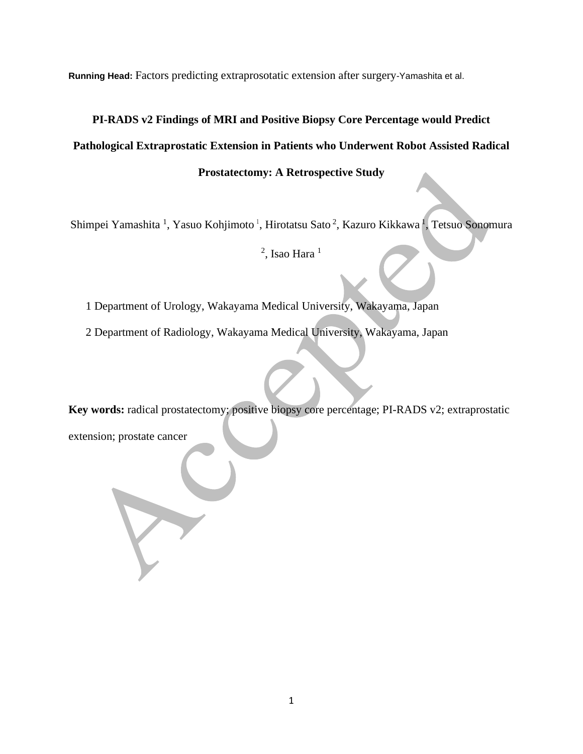**Running Head:** Factors predicting extraprosotatic extension after surgery-Yamashita et al.

# **PI-RADS v2 Findings of MRI and Positive Biopsy Core Percentage would Predict Pathological Extraprostatic Extension in Patients who Underwent Robot Assisted Radical Prostatectomy: A Retrospective Study**

Shimpei Yamashita <sup>1</sup>, Yasuo Kohjimoto <sup>1</sup>, Hirotatsu Sato <sup>2</sup>, Kazuro Kikkawa <sup>1</sup>, Tetsuo Sonomura

 $^2$ , Isao Hara  $^1$ 

1 Department of Urology, Wakayama Medical University, Wakayama, Japan

2 Department of Radiology, Wakayama Medical University, Wakayama, Japan

**Key words:** radical prostatectomy; positive biopsy core percentage; PI-RADS v2; extraprostatic extension; prostate cancer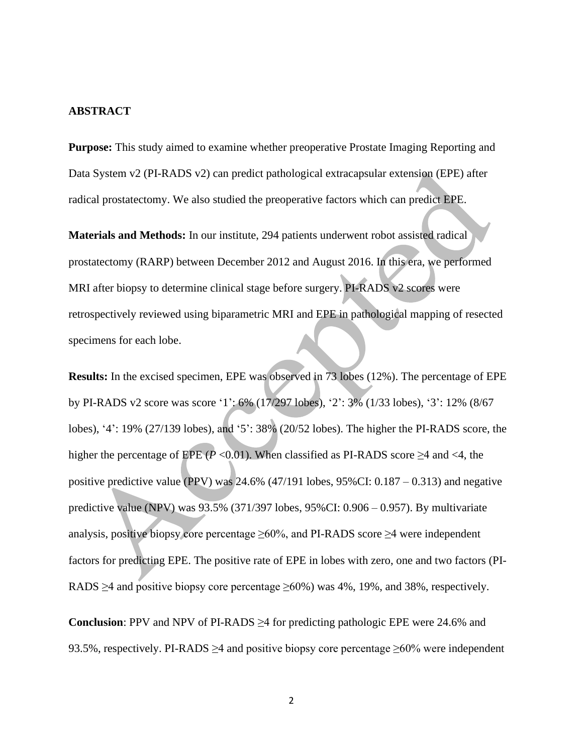#### **ABSTRACT**

**Purpose:** This study aimed to examine whether preoperative Prostate Imaging Reporting and Data System v2 (PI-RADS v2) can predict pathological extracapsular extension (EPE) after radical prostatectomy. We also studied the preoperative factors which can predict EPE.

**Materials and Methods:** In our institute, 294 patients underwent robot assisted radical prostatectomy (RARP) between December 2012 and August 2016. In this era, we performed MRI after biopsy to determine clinical stage before surgery. PI-RADS v2 scores were retrospectively reviewed using biparametric MRI and EPE in pathological mapping of resected specimens for each lobe.

**Results:** In the excised specimen, EPE was observed in 73 lobes (12%). The percentage of EPE by PI-RADS v2 score was score '1': 6% (17/297 lobes), '2': 3% (1/33 lobes), '3': 12% (8/67 lobes), '4': 19% (27/139 lobes), and '5': 38% (20/52 lobes). The higher the PI-RADS score, the higher the percentage of EPE ( $P < 0.01$ ). When classified as PI-RADS score  $\geq 4$  and  $\lt 4$ , the positive predictive value (PPV) was 24.6% (47/191 lobes, 95%CI: 0.187 – 0.313) and negative predictive value (NPV) was 93.5% (371/397 lobes, 95%CI: 0.906 – 0.957). By multivariate analysis, positive biopsy core percentage  $\geq 60\%$ , and PI-RADS score  $\geq 4$  were independent factors for predicting EPE. The positive rate of EPE in lobes with zero, one and two factors (PI-RADS  $\geq$ 4 and positive biopsy core percentage  $\geq$ 60%) was 4%, 19%, and 38%, respectively.

**Conclusion**: PPV and NPV of PI-RADS ≥4 for predicting pathologic EPE were 24.6% and 93.5%, respectively. PI-RADS  $\geq$ 4 and positive biopsy core percentage  $\geq$ 60% were independent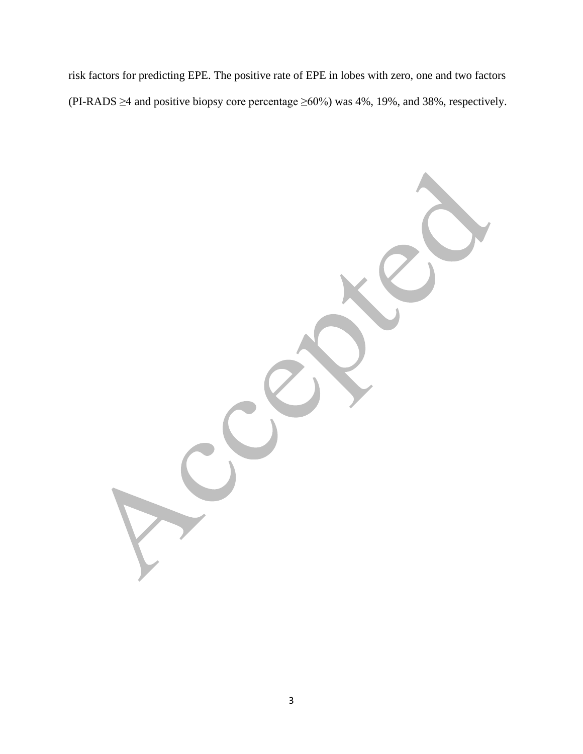risk factors for predicting EPE. The positive rate of EPE in lobes with zero, one and two factors (PI-RADS  $\geq$ 4 and positive biopsy core percentage  $\geq$ 60%) was 4%, 19%, and 38%, respectively.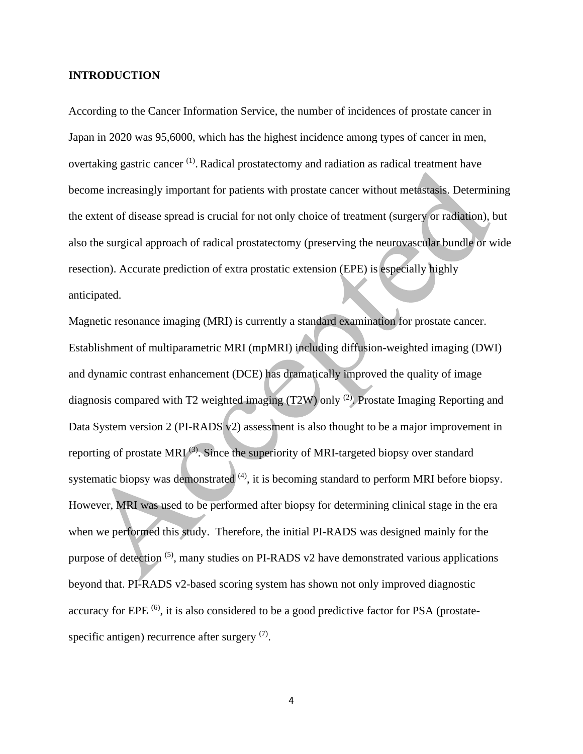## **INTRODUCTION**

According to the Cancer Information Service, the number of incidences of prostate cancer in Japan in 2020 was 95,6000, which has the highest incidence among types of cancer in men, overtaking gastric cancer <sup>(1)</sup>. Radical prostatectomy and radiation as radical treatment have become increasingly important for patients with prostate cancer without metastasis. Determining the extent of disease spread is crucial for not only choice of treatment (surgery or radiation), but also the surgical approach of radical prostatectomy (preserving the neurovascular bundle or wide resection). Accurate prediction of extra prostatic extension (EPE) is especially highly anticipated.

Magnetic resonance imaging (MRI) is currently a standard examination for prostate cancer. Establishment of multiparametric MRI (mpMRI) including diffusion-weighted imaging (DWI) and dynamic contrast enhancement (DCE) has dramatically improved the quality of image diagnosis compared with T2 weighted imaging (T2W) only <sup>(2)</sup>. Prostate Imaging Reporting and Data System version 2 (PI-RADS v2) assessment is also thought to be a major improvement in reporting of prostate MRI $^{(3)}$ . Since the superiority of MRI-targeted biopsy over standard systematic biopsy was demonstrated  $(4)$ , it is becoming standard to perform MRI before biopsy. However, MRI was used to be performed after biopsy for determining clinical stage in the era when we performed this study. Therefore, the initial PI-RADS was designed mainly for the purpose of detection  $(5)$ , many studies on PI-RADS v2 have demonstrated various applications beyond that. PI-RADS v2-based scoring system has shown not only improved diagnostic accuracy for EPE  $^{(6)}$ , it is also considered to be a good predictive factor for PSA (prostatespecific antigen) recurrence after surgery  $(7)$ .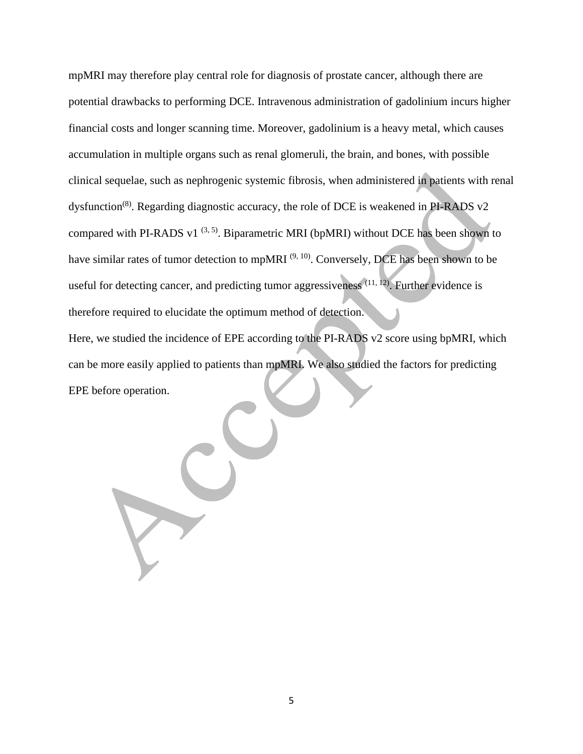mpMRI may therefore play central role for diagnosis of prostate cancer, although there are potential drawbacks to performing DCE. Intravenous administration of gadolinium incurs higher financial costs and longer scanning time. Moreover, gadolinium is a heavy metal, which causes accumulation in multiple organs such as renal glomeruli, the brain, and bones, with possible clinical sequelae, such as nephrogenic systemic fibrosis, when administered in patients with renal dysfunction<sup>(8)</sup>. Regarding diagnostic accuracy, the role of DCE is weakened in PI-RADS v2 compared with PI-RADS v1 $(3, 5)$ . Biparametric MRI (bpMRI) without DCE has been shown to have similar rates of tumor detection to mpMRI  $(9, 10)$ . Conversely, DCE has been shown to be useful for detecting cancer, and predicting tumor aggressiveness  $(11, 12)$ . Further evidence is therefore required to elucidate the optimum method of detection. Here, we studied the incidence of EPE according to the PI-RADS v2 score using bpMRI, which can be more easily applied to patients than mpMRI. We also studied the factors for predicting EPE before operation.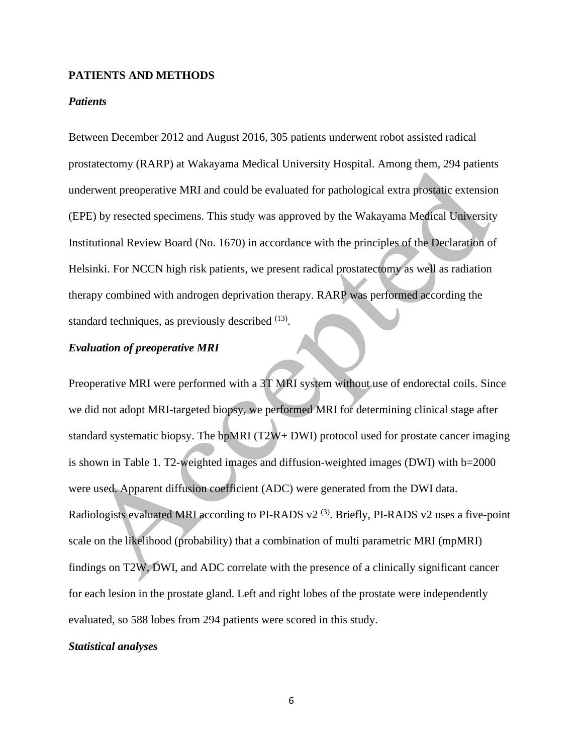## **PATIENTS AND METHODS**

### *Patients*

Between December 2012 and August 2016, 305 patients underwent robot assisted radical prostatectomy (RARP) at Wakayama Medical University Hospital. Among them, 294 patients underwent preoperative MRI and could be evaluated for pathological extra prostatic extension (EPE) by resected specimens. This study was approved by the Wakayama Medical University Institutional Review Board (No. 1670) in accordance with the principles of the Declaration of Helsinki. For NCCN high risk patients, we present radical prostatectomy as well as radiation therapy combined with androgen deprivation therapy. RARP was performed according the standard techniques, as previously described <sup>(13)</sup>.

# *Evaluation of preoperative MRI*

Preoperative MRI were performed with a 3T MRI system without use of endorectal coils. Since we did not adopt MRI-targeted biopsy, we performed MRI for determining clinical stage after standard systematic biopsy. The bpMRI (T2W+ DWI) protocol used for prostate cancer imaging is shown in Table 1. T2-weighted images and diffusion-weighted images (DWI) with b=2000 were used. Apparent diffusion coefficient (ADC) were generated from the DWI data. Radiologists evaluated MRI according to PI-RADS  $v2^{(3)}$ . Briefly, PI-RADS  $v2$  uses a five-point scale on the likelihood (probability) that a combination of multi parametric MRI (mpMRI) findings on T2W, DWI, and ADC correlate with the presence of a clinically significant cancer for each lesion in the prostate gland. Left and right lobes of the prostate were independently evaluated, so 588 lobes from 294 patients were scored in this study.

# *Statistical analyses*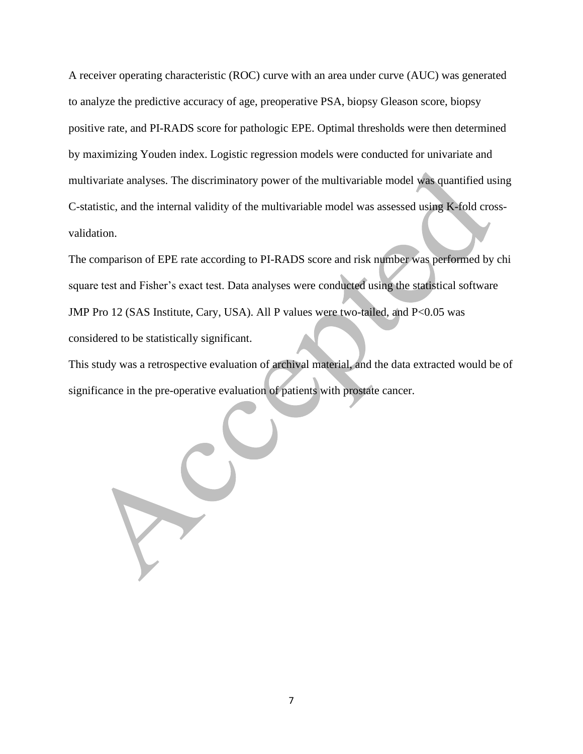A receiver operating characteristic (ROC) curve with an area under curve (AUC) was generated to analyze the predictive accuracy of age, preoperative PSA, biopsy Gleason score, biopsy positive rate, and PI-RADS score for pathologic EPE. Optimal thresholds were then determined by maximizing Youden index. Logistic regression models were conducted for univariate and multivariate analyses. The discriminatory power of the multivariable model was quantified using C-statistic, and the internal validity of the multivariable model was assessed using K-fold crossvalidation.

The comparison of EPE rate according to PI-RADS score and risk number was performed by chi square test and Fisher's exact test. Data analyses were conducted using the statistical software JMP Pro 12 (SAS Institute, Cary, USA). All P values were two-tailed, and P<0.05 was considered to be statistically significant.

This study was a retrospective evaluation of archival material, and the data extracted would be of significance in the pre-operative evaluation of patients with prostate cancer.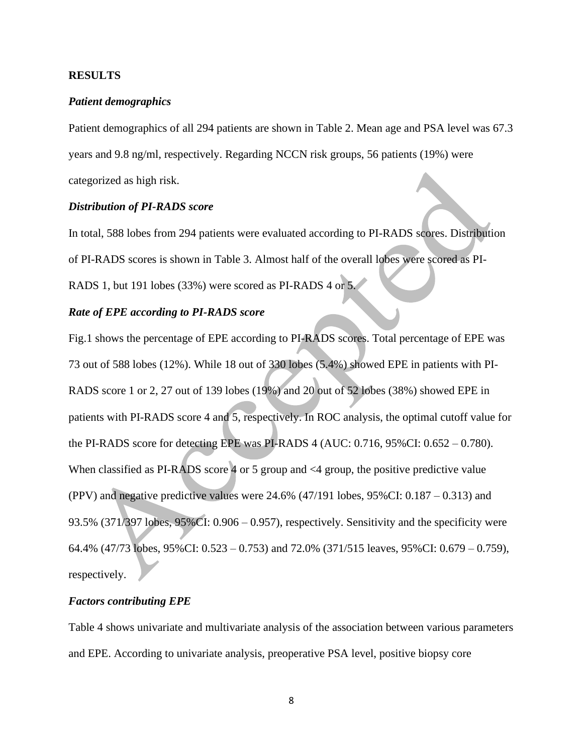# **RESULTS**

## *Patient demographics*

Patient demographics of all 294 patients are shown in Table 2. Mean age and PSA level was 67.3 years and 9.8 ng/ml, respectively. Regarding NCCN risk groups, 56 patients (19%) were categorized as high risk.

## *Distribution of PI-RADS score*

In total, 588 lobes from 294 patients were evaluated according to PI-RADS scores. Distribution of PI-RADS scores is shown in Table 3. Almost half of the overall lobes were scored as PI-RADS 1, but 191 lobes (33%) were scored as PI-RADS 4 or 5.

# *Rate of EPE according to PI-RADS score*

Fig.1 shows the percentage of EPE according to PI-RADS scores. Total percentage of EPE was 73 out of 588 lobes (12%). While 18 out of 330 lobes (5.4%) showed EPE in patients with PI-RADS score 1 or 2, 27 out of 139 lobes (19%) and 20 out of 52 lobes (38%) showed EPE in patients with PI-RADS score 4 and 5, respectively. In ROC analysis, the optimal cutoff value for the PI-RADS score for detecting EPE was PI-RADS 4 (AUC: 0.716, 95%CI: 0.652 – 0.780). When classified as PI-RADS score 4 or 5 group and  $\leq 4$  group, the positive predictive value (PPV) and negative predictive values were 24.6% (47/191 lobes, 95%CI: 0.187 – 0.313) and 93.5% (371/397 lobes, 95%CI: 0.906 – 0.957), respectively. Sensitivity and the specificity were 64.4% (47/73 lobes, 95%CI: 0.523 – 0.753) and 72.0% (371/515 leaves, 95%CI: 0.679 – 0.759), respectively.

#### *Factors contributing EPE*

Table 4 shows univariate and multivariate analysis of the association between various parameters and EPE. According to univariate analysis, preoperative PSA level, positive biopsy core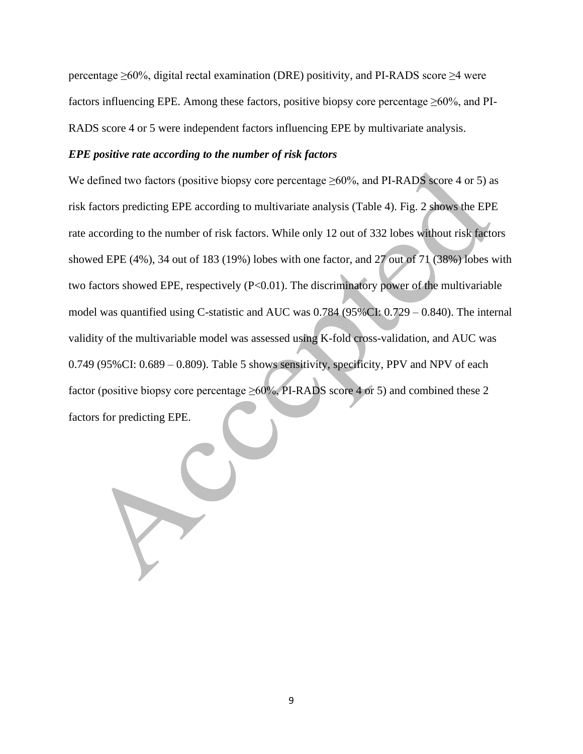percentage ≥60%, digital rectal examination (DRE) positivity, and PI-RADS score ≥4 were factors influencing EPE. Among these factors, positive biopsy core percentage  $\geq 60\%$ , and PI-RADS score 4 or 5 were independent factors influencing EPE by multivariate analysis.

#### *EPE positive rate according to the number of risk factors*

We defined two factors (positive biopsy core percentage  $\geq 60\%$ , and PI-RADS score 4 or 5) as risk factors predicting EPE according to multivariate analysis (Table 4). Fig. 2 shows the EPE rate according to the number of risk factors. While only 12 out of 332 lobes without risk factors showed EPE (4%), 34 out of 183 (19%) lobes with one factor, and 27 out of 71 (38%) lobes with two factors showed EPE, respectively (P<0.01). The discriminatory power of the multivariable model was quantified using C-statistic and AUC was 0.784 (95%CI: 0.729 – 0.840). The internal validity of the multivariable model was assessed using K-fold cross-validation, and AUC was 0.749 (95%CI: 0.689 – 0.809). Table 5 shows sensitivity, specificity, PPV and NPV of each factor (positive biopsy core percentage  $\geq 60\%$ , PI-RADS score 4 or 5) and combined these 2 factors for predicting EPE.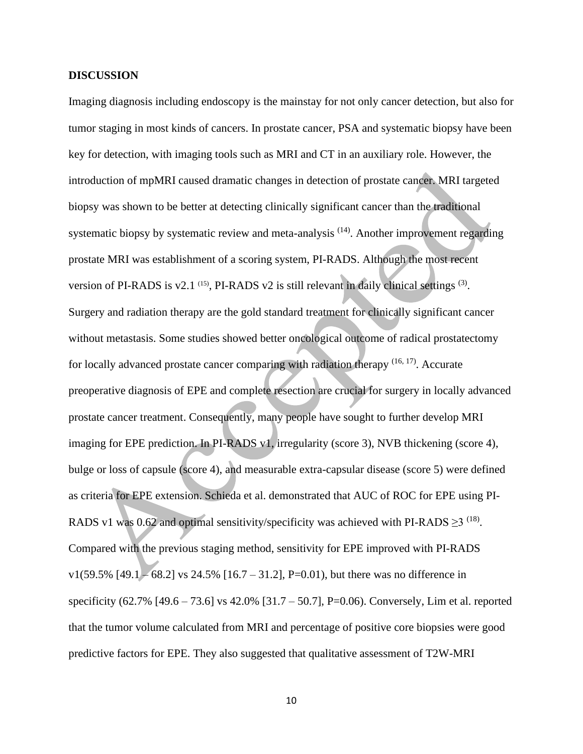### **DISCUSSION**

Imaging diagnosis including endoscopy is the mainstay for not only cancer detection, but also for tumor staging in most kinds of cancers. In prostate cancer, PSA and systematic biopsy have been key for detection, with imaging tools such as MRI and CT in an auxiliary role. However, the introduction of mpMRI caused dramatic changes in detection of prostate cancer. MRI targeted biopsy was shown to be better at detecting clinically significant cancer than the traditional systematic biopsy by systematic review and meta-analysis <sup>(14)</sup>. Another improvement regarding prostate MRI was establishment of a scoring system, PI-RADS. Although the most recent version of PI-RADS is v2.1  $(15)$ , PI-RADS v2 is still relevant in daily clinical settings  $(3)$ . Surgery and radiation therapy are the gold standard treatment for clinically significant cancer without metastasis. Some studies showed better oncological outcome of radical prostatectomy for locally advanced prostate cancer comparing with radiation therapy <sup>(16, 17)</sup>. Accurate preoperative diagnosis of EPE and complete resection are crucial for surgery in locally advanced prostate cancer treatment. Consequently, many people have sought to further develop MRI imaging for EPE prediction. In PI-RADS v1, irregularity (score 3), NVB thickening (score 4), bulge or loss of capsule (score 4), and measurable extra-capsular disease (score 5) were defined as criteria for EPE extension. Schieda et al. demonstrated that AUC of ROC for EPE using PI-RADS v1 was 0.62 and optimal sensitivity/specificity was achieved with PI-RADS  $\geq$ 3<sup>(18)</sup>. Compared with the previous staging method, sensitivity for EPE improved with PI-RADS v1(59.5%  $[49.1] - 68.2$ ] vs 24.5%  $[16.7 - 31.2]$ , P=0.01), but there was no difference in specificity (62.7% [49.6 – 73.6] vs 42.0% [31.7 – 50.7], P=0.06). Conversely, Lim et al. reported that the tumor volume calculated from MRI and percentage of positive core biopsies were good predictive factors for EPE. They also suggested that qualitative assessment of T2W-MRI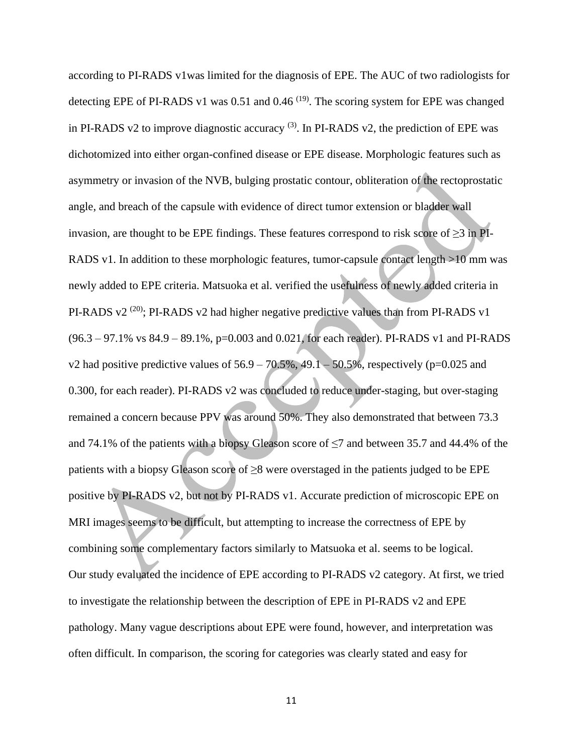according to PI-RADS v1was limited for the diagnosis of EPE. The AUC of two radiologists for detecting EPE of PI-RADS v1 was  $0.51$  and  $0.46$  <sup>(19)</sup>. The scoring system for EPE was changed in PI-RADS v2 to improve diagnostic accuracy  $(3)$ . In PI-RADS v2, the prediction of EPE was dichotomized into either organ-confined disease or EPE disease. Morphologic features such as asymmetry or invasion of the NVB, bulging prostatic contour, obliteration of the rectoprostatic angle, and breach of the capsule with evidence of direct tumor extension or bladder wall invasion, are thought to be EPE findings. These features correspond to risk score of  $\geq$ 3 in PI-RADS v1. In addition to these morphologic features, tumor-capsule contact length >10 mm was newly added to EPE criteria. Matsuoka et al. verified the usefulness of newly added criteria in PI-RADS  $v2^{(20)}$ ; PI-RADS  $v2$  had higher negative predictive values than from PI-RADS  $v1$ (96.3 – 97.1% vs 84.9 – 89.1%, p=0.003 and 0.021, for each reader). PI-RADS v1 and PI-RADS v2 had positive predictive values of  $56.9 - 70.5\%$ , 49.1 – 50.5%, respectively (p=0.025 and 0.300, for each reader). PI-RADS v2 was concluded to reduce under-staging, but over-staging remained a concern because PPV was around 50%. They also demonstrated that between 73.3 and 74.1% of the patients with a biopsy Gleason score of  $\leq$ 7 and between 35.7 and 44.4% of the patients with a biopsy Gleason score of  $\geq$ 8 were overstaged in the patients judged to be EPE positive by PI-RADS v2, but not by PI-RADS v1. Accurate prediction of microscopic EPE on MRI images seems to be difficult, but attempting to increase the correctness of EPE by combining some complementary factors similarly to Matsuoka et al. seems to be logical. Our study evaluated the incidence of EPE according to PI-RADS v2 category. At first, we tried to investigate the relationship between the description of EPE in PI-RADS v2 and EPE pathology. Many vague descriptions about EPE were found, however, and interpretation was often difficult. In comparison, the scoring for categories was clearly stated and easy for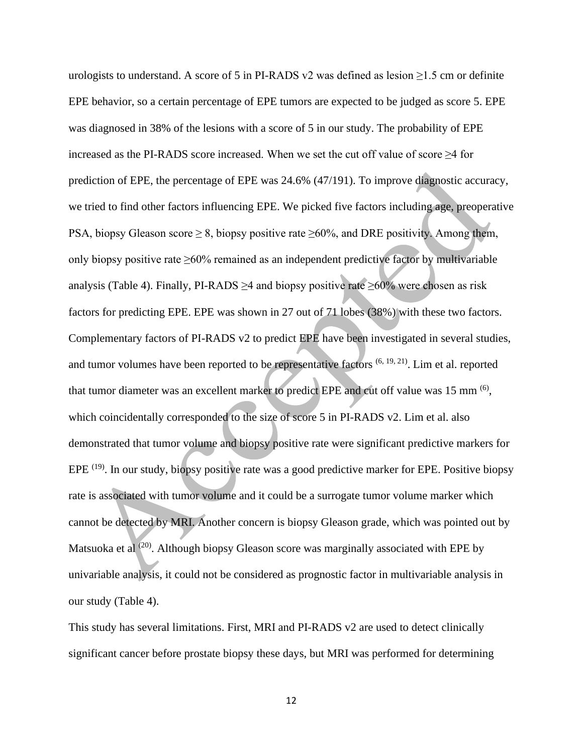urologists to understand. A score of 5 in PI-RADS v2 was defined as lesion  $\geq$ 1.5 cm or definite EPE behavior, so a certain percentage of EPE tumors are expected to be judged as score 5. EPE was diagnosed in 38% of the lesions with a score of 5 in our study. The probability of EPE increased as the PI-RADS score increased. When we set the cut off value of score ≥4 for prediction of EPE, the percentage of EPE was 24.6% (47/191). To improve diagnostic accuracy, we tried to find other factors influencing EPE. We picked five factors including age, preoperative PSA, biopsy Gleason score  $\geq 8$ , biopsy positive rate  $\geq 60\%$ , and DRE positivity. Among them, only biopsy positive rate ≥60% remained as an independent predictive factor by multivariable analysis (Table 4). Finally, PI-RADS  $\geq$ 4 and biopsy positive rate  $\geq$ 60% were chosen as risk factors for predicting EPE. EPE was shown in 27 out of 71 lobes (38%) with these two factors. Complementary factors of PI-RADS v2 to predict EPE have been investigated in several studies, and tumor volumes have been reported to be representative factors  $(6, 19, 21)$ . Lim et al. reported that tumor diameter was an excellent marker to predict EPE and cut off value was 15 mm <sup>(6)</sup>, which coincidentally corresponded to the size of score 5 in PI-RADS v2. Lim et al. also demonstrated that tumor volume and biopsy positive rate were significant predictive markers for EPE  $^{(19)}$ . In our study, biopsy positive rate was a good predictive marker for EPE. Positive biopsy rate is associated with tumor volume and it could be a surrogate tumor volume marker which cannot be detected by MRI. Another concern is biopsy Gleason grade, which was pointed out by Matsuoka et al  $(20)$ . Although biopsy Gleason score was marginally associated with EPE by univariable analysis, it could not be considered as prognostic factor in multivariable analysis in our study (Table 4).

This study has several limitations. First, MRI and PI-RADS v2 are used to detect clinically significant cancer before prostate biopsy these days, but MRI was performed for determining

12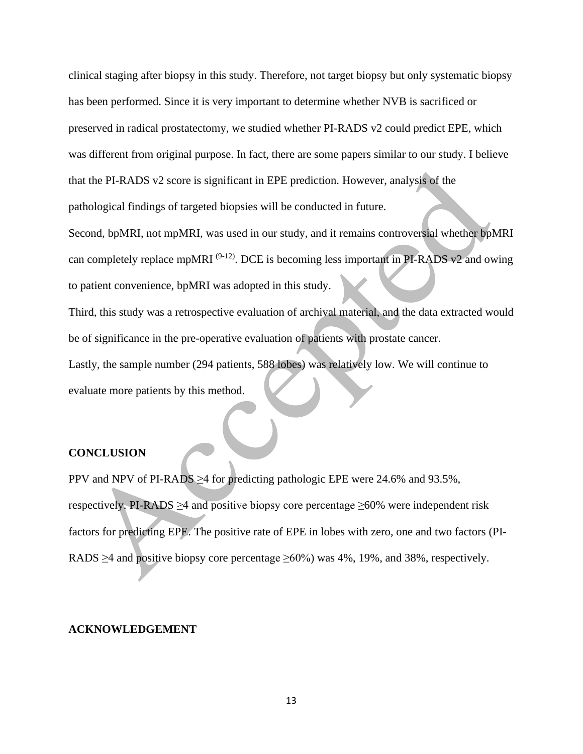clinical staging after biopsy in this study. Therefore, not target biopsy but only systematic biopsy has been performed. Since it is very important to determine whether NVB is sacrificed or preserved in radical prostatectomy, we studied whether PI-RADS v2 could predict EPE, which was different from original purpose. In fact, there are some papers similar to our study. I believe that the PI-RADS v2 score is significant in EPE prediction. However, analysis of the pathological findings of targeted biopsies will be conducted in future.

Second, bpMRI, not mpMRI, was used in our study, and it remains controversial whether bpMRI can completely replace mpMRI  $(9-12)$ . DCE is becoming less important in PI-RADS v2 and owing to patient convenience, bpMRI was adopted in this study.

Third, this study was a retrospective evaluation of archival material, and the data extracted would be of significance in the pre-operative evaluation of patients with prostate cancer.

Lastly, the sample number (294 patients, 588 lobes) was relatively low. We will continue to evaluate more patients by this method.

## **CONCLUSION**

PPV and NPV of PI-RADS ≥4 for predicting pathologic EPE were 24.6% and 93.5%, respectively. PI-RADS  $\geq$ 4 and positive biopsy core percentage  $\geq$ 60% were independent risk factors for predicting EPE. The positive rate of EPE in lobes with zero, one and two factors (PI-RADS  $\geq$ 4 and positive biopsy core percentage  $\geq$ 60%) was 4%, 19%, and 38%, respectively.

#### **ACKNOWLEDGEMENT**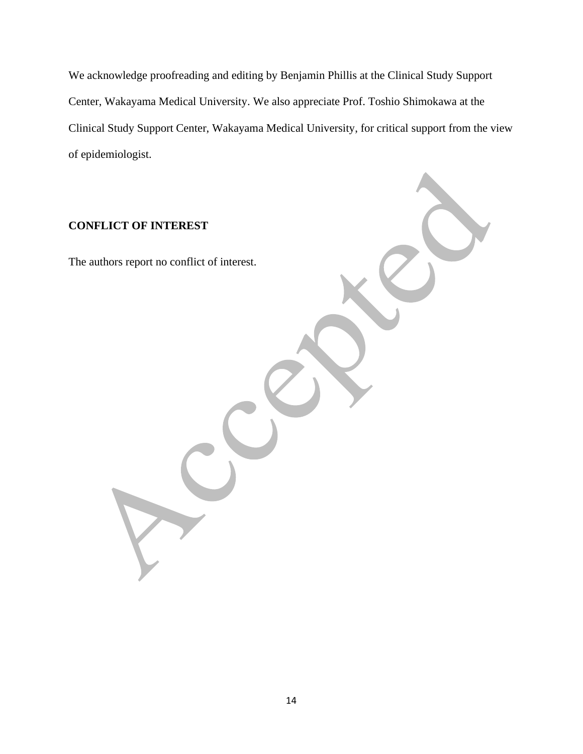We acknowledge proofreading and editing by Benjamin Phillis at the Clinical Study Support Center, Wakayama Medical University. We also appreciate Prof. Toshio Shimokawa at the Clinical Study Support Center, Wakayama Medical University, for critical support from the view of epidemiologist.

# **CONFLICT OF INTEREST**

The authors report no conflict of interest.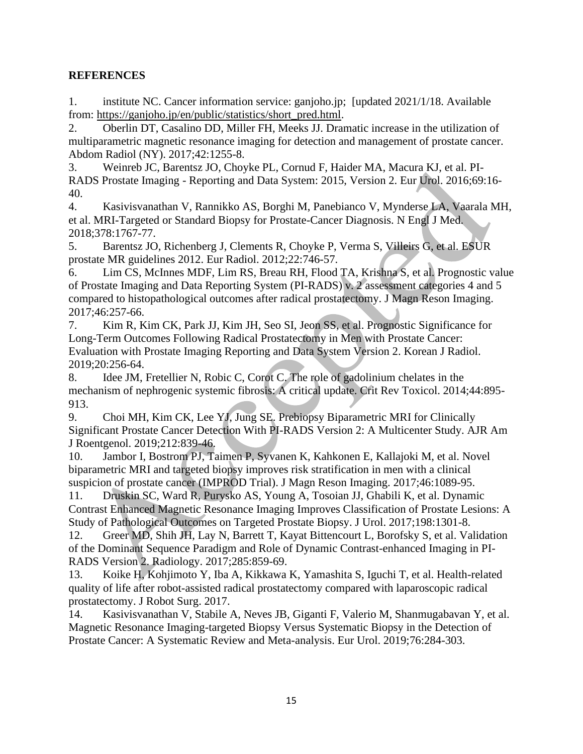# **REFERENCES**

1. institute NC. Cancer information service: ganjoho.jp; [updated 2021/1/18. Available from: [https://ganjoho.jp/en/public/statistics/short\\_pred.html.](https://ganjoho.jp/en/public/statistics/short_pred.html)

2. Oberlin DT, Casalino DD, Miller FH, Meeks JJ. Dramatic increase in the utilization of multiparametric magnetic resonance imaging for detection and management of prostate cancer. Abdom Radiol (NY). 2017;42:1255-8.

3. Weinreb JC, Barentsz JO, Choyke PL, Cornud F, Haider MA, Macura KJ, et al. PI-RADS Prostate Imaging - Reporting and Data System: 2015, Version 2. Eur Urol. 2016;69:16- 40.

4. Kasivisvanathan V, Rannikko AS, Borghi M, Panebianco V, Mynderse LA, Vaarala MH, et al. MRI-Targeted or Standard Biopsy for Prostate-Cancer Diagnosis. N Engl J Med. 2018;378:1767-77.

5. Barentsz JO, Richenberg J, Clements R, Choyke P, Verma S, Villeirs G, et al. ESUR prostate MR guidelines 2012. Eur Radiol. 2012;22:746-57.

6. Lim CS, McInnes MDF, Lim RS, Breau RH, Flood TA, Krishna S, et al. Prognostic value of Prostate Imaging and Data Reporting System (PI-RADS) v. 2 assessment categories 4 and 5 compared to histopathological outcomes after radical prostatectomy. J Magn Reson Imaging. 2017;46:257-66.

7. Kim R, Kim CK, Park JJ, Kim JH, Seo SI, Jeon SS, et al. Prognostic Significance for Long-Term Outcomes Following Radical Prostatectomy in Men with Prostate Cancer: Evaluation with Prostate Imaging Reporting and Data System Version 2. Korean J Radiol. 2019;20:256-64.

8. Idee JM, Fretellier N, Robic C, Corot C. The role of gadolinium chelates in the mechanism of nephrogenic systemic fibrosis: A critical update. Crit Rev Toxicol. 2014;44:895- 913.

9. Choi MH, Kim CK, Lee YJ, Jung SE. Prebiopsy Biparametric MRI for Clinically Significant Prostate Cancer Detection With PI-RADS Version 2: A Multicenter Study. AJR Am J Roentgenol. 2019;212:839-46.

10. Jambor I, Bostrom PJ, Taimen P, Syvanen K, Kahkonen E, Kallajoki M, et al. Novel biparametric MRI and targeted biopsy improves risk stratification in men with a clinical suspicion of prostate cancer (IMPROD Trial). J Magn Reson Imaging. 2017;46:1089-95.

11. Druskin SC, Ward R, Purysko AS, Young A, Tosoian JJ, Ghabili K, et al. Dynamic Contrast Enhanced Magnetic Resonance Imaging Improves Classification of Prostate Lesions: A Study of Pathological Outcomes on Targeted Prostate Biopsy. J Urol. 2017;198:1301-8.

12. Greer MD, Shih JH, Lay N, Barrett T, Kayat Bittencourt L, Borofsky S, et al. Validation of the Dominant Sequence Paradigm and Role of Dynamic Contrast-enhanced Imaging in PI-RADS Version 2. Radiology. 2017;285:859-69.

13. Koike H, Kohjimoto Y, Iba A, Kikkawa K, Yamashita S, Iguchi T, et al. Health-related quality of life after robot-assisted radical prostatectomy compared with laparoscopic radical prostatectomy. J Robot Surg. 2017.

14. Kasivisvanathan V, Stabile A, Neves JB, Giganti F, Valerio M, Shanmugabavan Y, et al. Magnetic Resonance Imaging-targeted Biopsy Versus Systematic Biopsy in the Detection of Prostate Cancer: A Systematic Review and Meta-analysis. Eur Urol. 2019;76:284-303.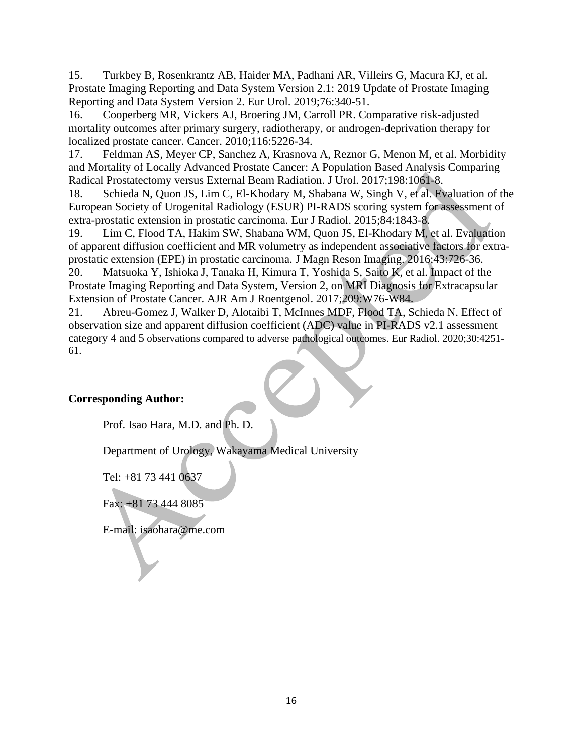15. Turkbey B, Rosenkrantz AB, Haider MA, Padhani AR, Villeirs G, Macura KJ, et al. Prostate Imaging Reporting and Data System Version 2.1: 2019 Update of Prostate Imaging Reporting and Data System Version 2. Eur Urol. 2019;76:340-51.

16. Cooperberg MR, Vickers AJ, Broering JM, Carroll PR. Comparative risk-adjusted mortality outcomes after primary surgery, radiotherapy, or androgen-deprivation therapy for localized prostate cancer. Cancer. 2010;116:5226-34.

17. Feldman AS, Meyer CP, Sanchez A, Krasnova A, Reznor G, Menon M, et al. Morbidity and Mortality of Locally Advanced Prostate Cancer: A Population Based Analysis Comparing Radical Prostatectomy versus External Beam Radiation. J Urol. 2017;198:1061-8.

18. Schieda N, Quon JS, Lim C, El-Khodary M, Shabana W, Singh V, et al. Evaluation of the European Society of Urogenital Radiology (ESUR) PI-RADS scoring system for assessment of extra-prostatic extension in prostatic carcinoma. Eur J Radiol. 2015;84:1843-8.

19. Lim C, Flood TA, Hakim SW, Shabana WM, Quon JS, El-Khodary M, et al. Evaluation of apparent diffusion coefficient and MR volumetry as independent associative factors for extraprostatic extension (EPE) in prostatic carcinoma. J Magn Reson Imaging. 2016;43:726-36.

20. Matsuoka Y, Ishioka J, Tanaka H, Kimura T, Yoshida S, Saito K, et al. Impact of the Prostate Imaging Reporting and Data System, Version 2, on MRI Diagnosis for Extracapsular Extension of Prostate Cancer. AJR Am J Roentgenol. 2017;209:W76-W84.

21. Abreu-Gomez J, Walker D, Alotaibi T, McInnes MDF, Flood TA, Schieda N. Effect of observation size and apparent diffusion coefficient (ADC) value in PI-RADS v2.1 assessment category 4 and 5 observations compared to adverse pathological outcomes. Eur Radiol. 2020;30:4251- 61.

# **Corresponding Author:**

Prof. Isao Hara, M.D. and Ph. D.

Department of Urology, Wakayama Medical University

Tel: +81 73 441 0637

Fax: +81 73 444 8085

E-mail: isaohara@me.com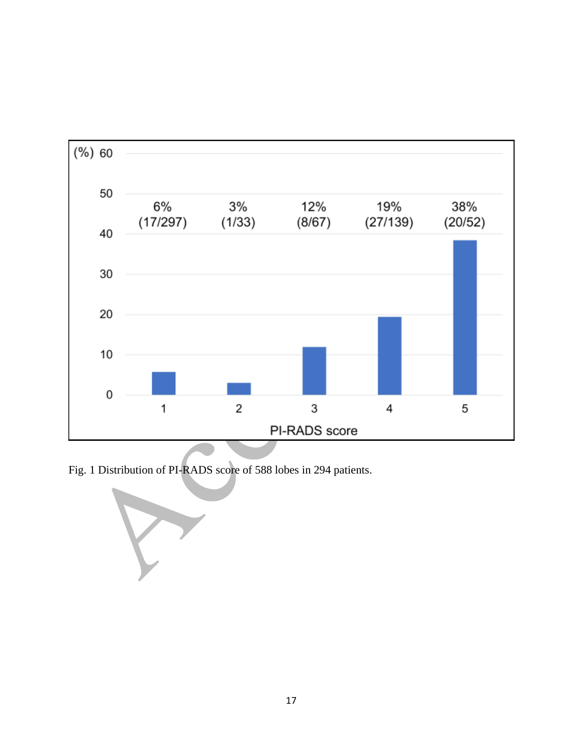

Fig. 1 Distribution of PI-RADS score of 588 lobes in 294 patients.